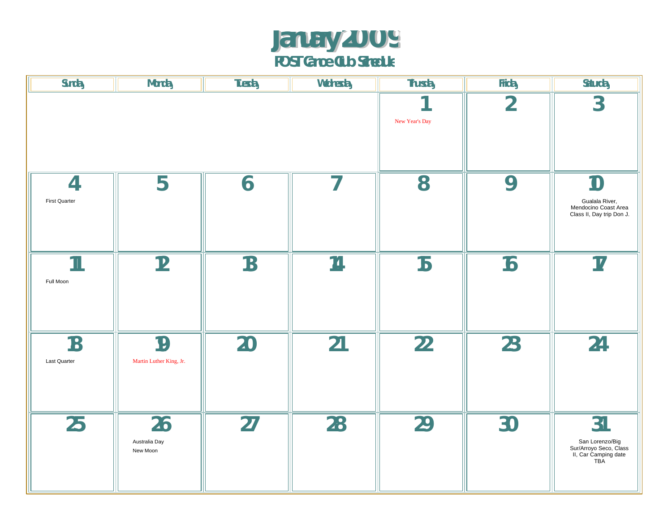#### **January 2009 POST Canoe Club Schedule**

| Sunday                                 | <b>Monday</b>                   | Tuesday | Wednesday                | Thursday       | Friday         | Saturday                                                                       |
|----------------------------------------|---------------------------------|---------|--------------------------|----------------|----------------|--------------------------------------------------------------------------------|
|                                        |                                 |         | New Year's Day           | $\overline{2}$ | $\overline{3}$ |                                                                                |
| $\overline{A}$<br><b>First Quarter</b> | 5                               | 6       | $\overline{\phantom{a}}$ | 8              | 9              | 10<br>Gualala River,<br>Mendocino Coast Area<br>Class II, Day trip Don J.      |
| $\mathbf{1}$<br>Full Moon              | 12                              | 13      | 14                       | 15             | 16             | 17                                                                             |
| 18<br>Last Quarter                     | 19<br>Martin Luther King, Jr.   | 20      | 21                       | 22             | 23             | 24                                                                             |
| 25                                     | 26<br>Australia Day<br>New Moon | 27      | 28                       | 29             | 30             | 31<br>San Lorenzo/Big<br>Sur/Arroyo Seco, Class<br>II, Car Camping date<br>TBA |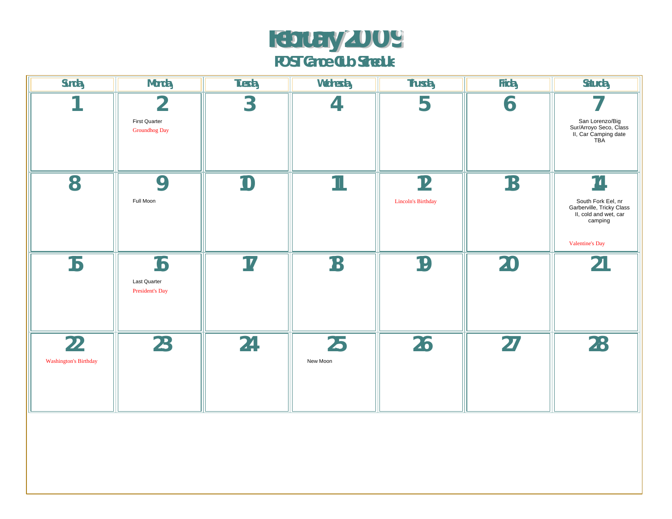## **February 2009**

**POST Canoe Club Schedule**

| Sunday                             | Monday                                                  | Tuesday         | Wednesday                | Thursday                 | Friday | Saturday                                                                                                     |
|------------------------------------|---------------------------------------------------------|-----------------|--------------------------|--------------------------|--------|--------------------------------------------------------------------------------------------------------------|
|                                    | $\overline{2}$<br>First Quarter<br><b>Groundhog Day</b> | $3\overline{3}$ | 4                        | 5                        | 6      | San Lorenzo/Big<br>Sur/Arroyo Seco, Class<br>II, Car Camping date<br>TBA                                     |
| 8                                  | 9<br>Full Moon                                          | 10              | $\mathbf{\overline{11}}$ | 12<br>Lincoln's Birthday | 13     | 14<br>South Fork Eel, nr<br>Garberville, Tricky Class<br>II, cold and wet, car<br>camping<br>Valentine's Day |
| 15                                 | 16<br><b>Last Quarter</b><br>President's Day            | 17              | 18                       | 19                       | 20     | 21                                                                                                           |
| 22<br><b>Washington's Birthday</b> | 23                                                      | 24              | 25<br>New Moon           | 26                       | 27     | 28                                                                                                           |
|                                    |                                                         |                 |                          |                          |        |                                                                                                              |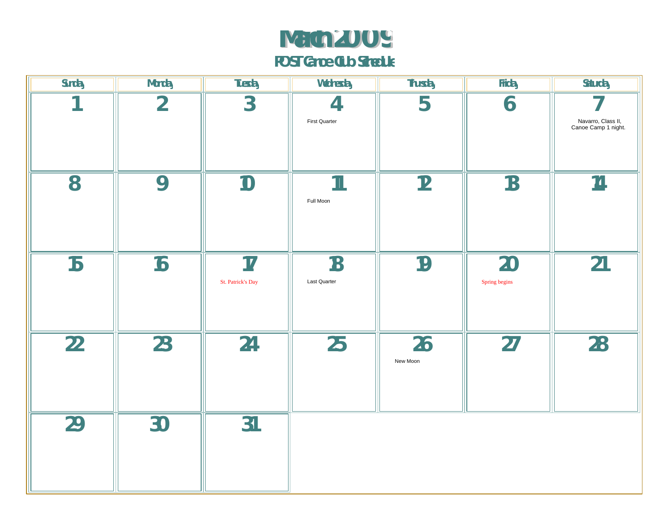#### **March 2009 POST Canoe Club Schedule**

| Sunday          | Monday          | Tuesday                 | Wednesday                 | Thursday       | Friday              | Saturday                                  |
|-----------------|-----------------|-------------------------|---------------------------|----------------|---------------------|-------------------------------------------|
|                 | $\overline{2}$  | $3\overline{3}$         | 4<br><b>First Quarter</b> | 5              | 6                   | Navarro, Class II,<br>Canoe Camp 1 night. |
| 8               | 9               | 10                      | $\mathbb{1}$<br>Full Moon | 12             | 13                  | 14                                        |
| 15              | 16              | 17<br>St. Patrick's Day | 18<br>Last Quarter        | 19             | 20<br>Spring begins | 21                                        |
| $\overline{22}$ | $\overline{23}$ | 24                      | 25                        | 26<br>New Moon | 27                  | 28                                        |
| 29              | 30              | 31                      |                           |                |                     |                                           |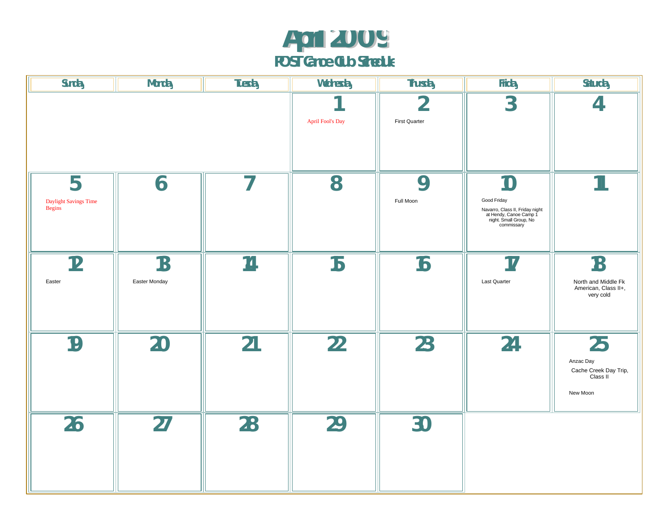#### **April 2009 POST Canoe Club Schedule**

| Sunday                                      | <b>Monday</b>       | Tuesday                  | Wednesday        | Thursday                  | Friday                                                                                                                 | Saturday                                                         |
|---------------------------------------------|---------------------|--------------------------|------------------|---------------------------|------------------------------------------------------------------------------------------------------------------------|------------------------------------------------------------------|
|                                             |                     |                          | April Fool's Day | ∩<br><b>First Quarter</b> | $\overline{3}$                                                                                                         |                                                                  |
| 5<br>Daylight Savings Time<br><b>Begins</b> | 6                   | $\overline{\phantom{a}}$ | 8                | 9<br>Full Moon            | 10<br>Good Friday<br>Navarro, Class II, Friday night<br>at Hendy, Canoe Camp 1<br>night. Small Group, No<br>commissary | $\mathbf 1$                                                      |
| 12<br>Easter                                | 13<br>Easter Monday | 14                       | 15               | 16                        | 17<br>Last Quarter                                                                                                     | 18<br>North and Middle Fk<br>American, Class II+,<br>very cold   |
| 19                                          | 20                  | 21                       | 22               | 23                        | 24                                                                                                                     | 25<br>Anzac Day<br>Cache Creek Day Trip,<br>Class II<br>New Moon |
| 26                                          | 27                  | 28                       | 29               | 30                        |                                                                                                                        |                                                                  |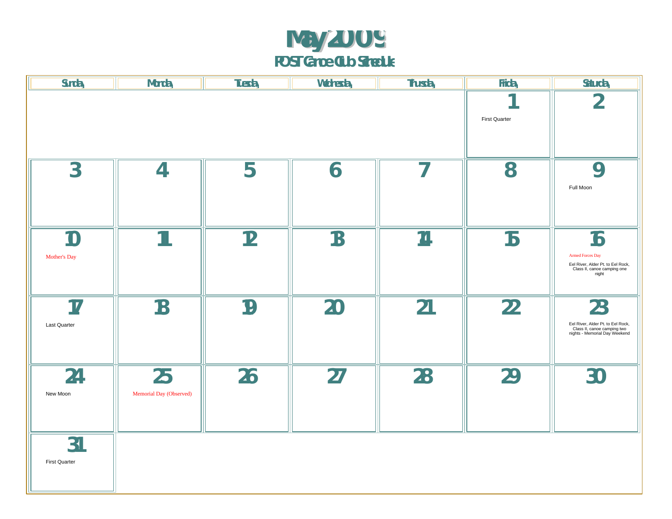#### **May 2009 POST Canoe Club Schedule**

| Sunday                     | Monday                        | Tuesday | Wednesday | Thursday                 | Friday               | Saturday                                                                                                   |
|----------------------------|-------------------------------|---------|-----------|--------------------------|----------------------|------------------------------------------------------------------------------------------------------------|
|                            |                               |         |           |                          | <b>First Quarter</b> | $\Omega$<br>∠                                                                                              |
| $\overline{3}$             | 4                             | 5       | 6         | $\overline{\phantom{a}}$ | 8                    | 9<br>Full Moon                                                                                             |
| $1 \cap$<br>Mother's Day   | $\mathbf 1$                   | 12      | 13        | 14                       | 15                   | 16<br><b>Armed Forces Day</b><br>Eel River, Alder Pt. to Eel Rock,<br>Class II, canoe camping one<br>night |
| 17<br><b>Last Quarter</b>  | 18                            | 19      | 20        | 21                       | 22                   | 23<br>Eel River, Alder Pt. to Eel Rock,<br>Class II, canoe camping two<br>nights - Memorial Day Weekend    |
| 24<br>New Moon             | 25<br>Memorial Day (Observed) | 26      | 27        | 28                       | 29                   | 30                                                                                                         |
| 31<br><b>First Quarter</b> |                               |         |           |                          |                      |                                                                                                            |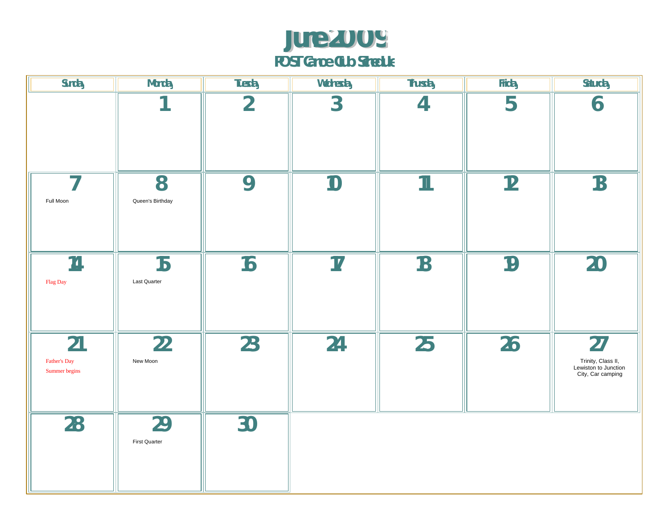### **June 2009**

**POST Canoe Club Schedule**

| Sunday                                | Monday                | Tuesday         | Wednesday | <b>Thursday</b> | Friday | Saturday                                                              |
|---------------------------------------|-----------------------|-----------------|-----------|-----------------|--------|-----------------------------------------------------------------------|
|                                       |                       | $\overline{2}$  | 3         | $\overline{4}$  | 5      | 6                                                                     |
| $\overline{\phantom{a}}$<br>Full Moon | 8<br>Queen's Birthday | 9               | 10        | $\mathbf 1$     | 12     | 13                                                                    |
| 14<br>${\rm Flag}$ Day                | 15<br>Last Quarter    | 16              | 17        | 18              | 19     | 20                                                                    |
| 21<br>Father's Day<br>Summer begins   | 22<br>New Moon        | 23              | 24        | 25              | 26     | 27<br>Trinity, Class II,<br>Lewiston to Junction<br>City, Car camping |
| $\overline{28}$                       | 29<br>First Quarter   | $\overline{30}$ |           |                 |        |                                                                       |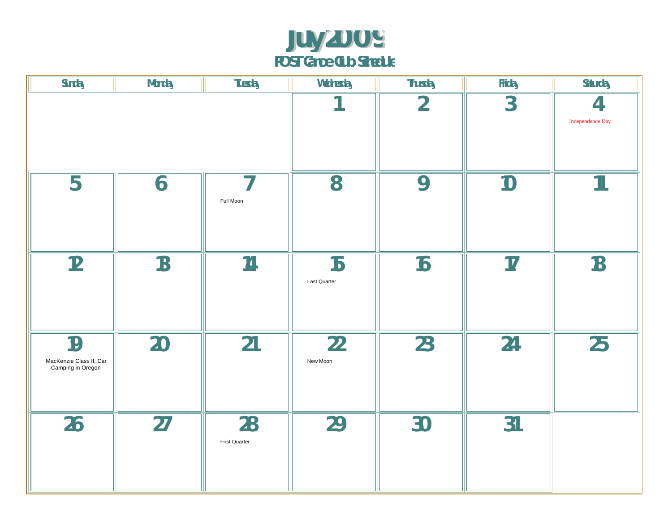#### **July 2009 POST Canoe Club Schedule**

| Sunday                                             | Monday | Tuesday             | Wednesday          | Thursday       | Friday                       | Saturday    |
|----------------------------------------------------|--------|---------------------|--------------------|----------------|------------------------------|-------------|
|                                                    |        |                     | $\overline{2}$     | $\overline{3}$ | 4<br><b>Independence Day</b> |             |
| 5                                                  | 6      | 7<br>Full Moon      | 8                  | 9              | 10                           | $\mathbf 1$ |
| 12                                                 | 13     | 14                  | 15<br>Last Quarter | 16             | 17                           | 18          |
| 19<br>MacKenzie Class II, Car<br>Camping in Oregon | 20     | 21                  | 22<br>New Moon     | 23             | 24                           | 25          |
| 26                                                 | 27     | 28<br>First Quarter | <b>29</b>          | 30             | 31                           |             |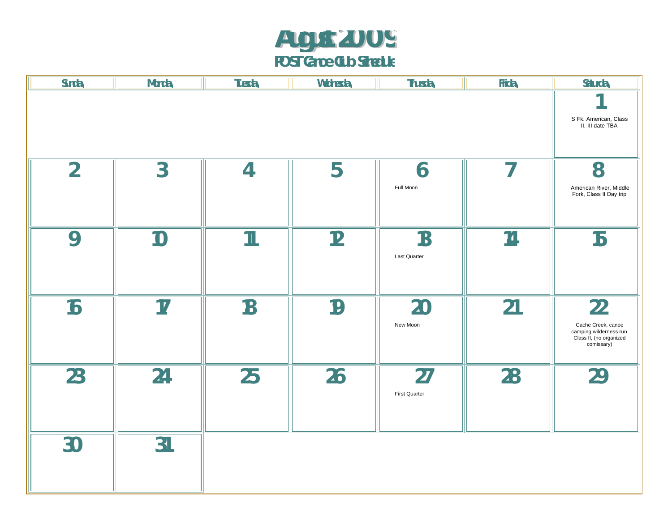#### **August 2009 POST Canoe Club Schedule**

| Sunday         | Monday         | Tuesday        | Wednesday | Thursday      | Friday | Saturday                                                                               |
|----------------|----------------|----------------|-----------|---------------|--------|----------------------------------------------------------------------------------------|
|                |                |                |           |               |        |                                                                                        |
|                |                |                |           |               |        | S Fk. American, Class<br>II, III date TBA                                              |
|                |                |                |           |               |        |                                                                                        |
|                |                |                |           |               |        |                                                                                        |
| $\overline{2}$ | $\overline{3}$ | $\overline{4}$ | 5         | 6             | 7      | 8                                                                                      |
|                |                |                |           | Full Moon     |        | American River, Middle<br>Fork, Class II Day trip                                      |
|                |                |                |           |               |        |                                                                                        |
|                |                |                |           |               |        |                                                                                        |
| 9              | 10             | $\mathbb{1}$   | 12        | 13            | 14     | 15                                                                                     |
|                |                |                |           | Last Quarter  |        |                                                                                        |
|                |                |                |           |               |        |                                                                                        |
|                |                |                |           |               |        |                                                                                        |
| 16             | 17             | 18             | 19        | 20            | 21     | 22                                                                                     |
|                |                |                |           | New Moon      |        | Cache Creek, canoe                                                                     |
|                |                |                |           |               |        | canno errori, cance<br>camping wilderness run<br>Class II, (no organized<br>comissary) |
|                |                |                |           |               |        |                                                                                        |
| 23             | 24             | 25             | 26        | 27            | 28     | 29                                                                                     |
|                |                |                |           | First Quarter |        |                                                                                        |
|                |                |                |           |               |        |                                                                                        |
|                |                |                |           |               |        |                                                                                        |
| 30             | 31             |                |           |               |        |                                                                                        |
|                |                |                |           |               |        |                                                                                        |
|                |                |                |           |               |        |                                                                                        |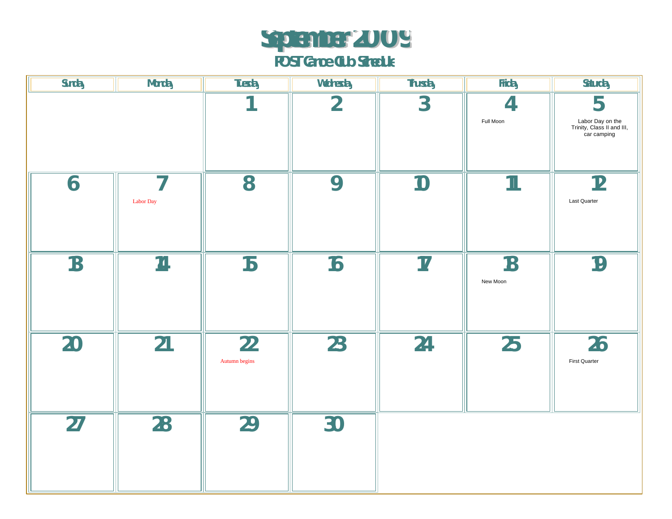## **September 2009**

| Sunday | Monday                                | Tuesday             | Wednesday      | Thursday | Friday          | Saturday                                                           |
|--------|---------------------------------------|---------------------|----------------|----------|-----------------|--------------------------------------------------------------------|
|        |                                       |                     | $\overline{2}$ | 3        | 4<br>Full Moon  | 5<br>Labor Day on the<br>Trinity, Class II and III,<br>car camping |
| 6      | $\overline{\phantom{a}}$<br>Labor Day | 8                   | 9              | 10       | $\mathbb{1}$    | 12<br>Last Quarter                                                 |
| 13     | 14                                    | 15                  | 16             | 17       | 18<br>New Moon  | 19                                                                 |
| 20     | 21                                    | 22<br>Autumn begins | 23             | 24       | $\overline{25}$ | 26<br>First Quarter                                                |
| 27     | 28                                    | 29                  | 30             |          |                 |                                                                    |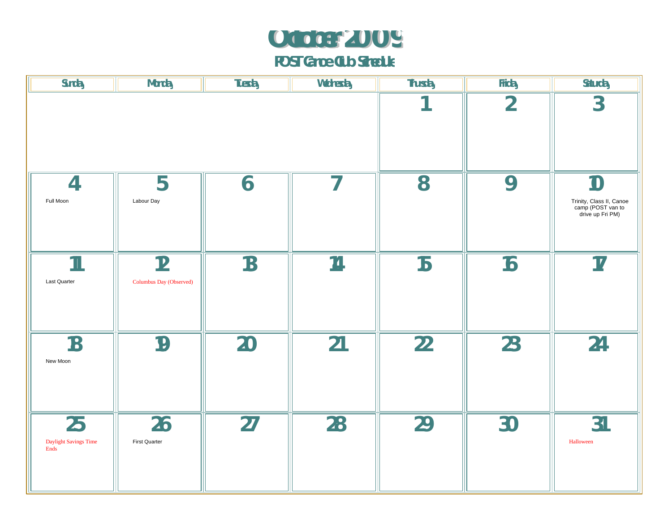# **October 2009**

| Sunday                              | <b>Monday</b>                 | Tuesday | Wednesday | Thursday        | Friday         | Saturday                                                                |
|-------------------------------------|-------------------------------|---------|-----------|-----------------|----------------|-------------------------------------------------------------------------|
|                                     |                               |         |           | $\overline{2}$  | $\overline{3}$ |                                                                         |
| $\overline{4}$<br>Full Moon         | 5<br>Labour Day               | 6       | 7         | 8               | 9              | 10<br>Trinity, Class II, Canoe<br>camp (POST van to<br>drive up Fri PM) |
| $\mathbf{1}$<br>Last Quarter        | 12<br>Columbus Day (Observed) | 13      | 14        | 15              | 16             | 17                                                                      |
| 18<br>New Moon                      | 19                            | 20      | 21        | $\overline{22}$ | 23             | 24                                                                      |
| 25<br>Daylight Savings Time<br>Ends | 26<br>First Quarter           | 27      | 28        | 29              | 30             | 31<br>Halloween                                                         |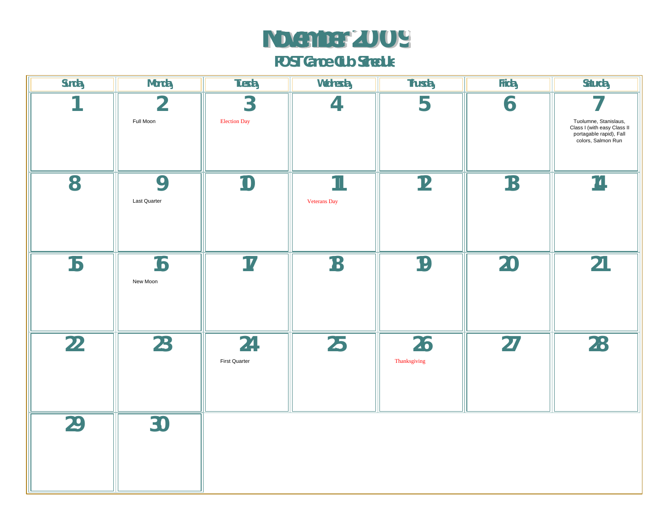### **November 2009**

| Sunday | Monday                      | Tuesday                               | Wednesday                    | Thursday           | Friday | Saturday                                                                                              |
|--------|-----------------------------|---------------------------------------|------------------------------|--------------------|--------|-------------------------------------------------------------------------------------------------------|
|        | $\overline{2}$<br>Full Moon | $\overline{3}$<br><b>Election Day</b> | $\overline{4}$               | 5                  | 6      | Tuolumne, Stanislaus,<br>Class I (with easy Class II<br>portagable rapid), Fall<br>colors, Salmon Run |
| 8      | 9<br>Last Quarter           | 10                                    | $\mathbb{1}$<br>Veterans Day | 12                 | 13     | 14                                                                                                    |
| 15     | 16<br>New Moon              | 17                                    | 18                           | 19                 | 20     | 21                                                                                                    |
| 22     | 23                          | 24<br>First Quarter                   | 25                           | 26<br>Thanksgiving | 27     | 28                                                                                                    |
| 29     | 30                          |                                       |                              |                    |        |                                                                                                       |